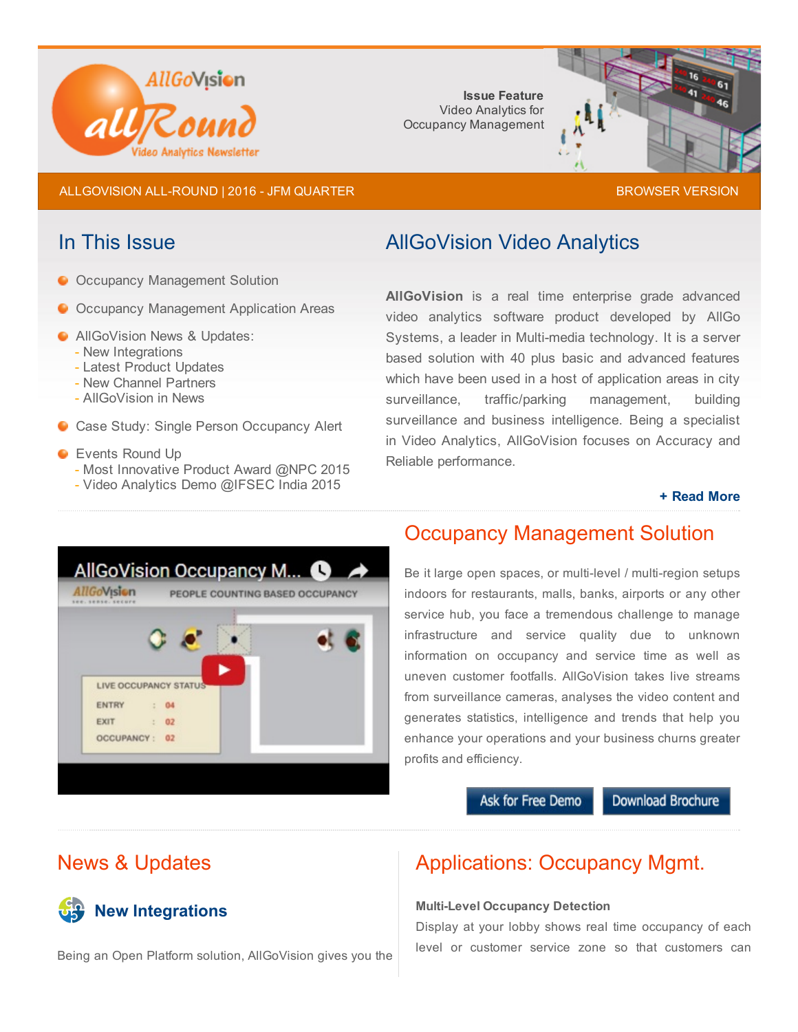

Issue Feature Video Analytics for Occupancy Management



ALLGOVISION ALL-ROUND | 2016 - JFM QUARTER [BROWSER](http://allgovision.com/AllRound-2016-Q-JFM.html) BROWSER VERSION

- **O Occupancy Management Solution**
- O Occupancy Management Application Areas
- **C** AllGoVision News & Updates:
	- New Integrations
	- Latest Product Updates
	- New Channel Partners
	- AllGoVision in News
- **Case Study: Single Person Occupancy Alert**

### **C** Events Round Up

- Most Innovative Product Award @NPC 2015
- Video Analytics Demo @IFSEC India 2015

# In This Issue **AllGoVision Video Analytics**

AllGoVision is a real time enterprise grade advanced video analytics software product developed by AllGo Systems, a leader in Multi-media technology. It is a server based solution with 40 plus basic and advanced features which have been used in a host of application areas in city surveillance, traffic/parking management, building surveillance and business intelligence. Being a specialist in Video Analytics, AllGoVision focuses on Accuracy and Reliable performance.

### + [Read](http://allgovision.com/video_analytics.php) More



# Occupancy Management Solution

Be it large open spaces, or multi-level / multi-region setups indoors for restaurants, malls, banks, airports or any other service hub, you face a tremendous challenge to manage infrastructure and service quality due to unknown information on occupancy and service time as well as uneven customer footfalls. AllGoVision takes live streams from surveillance cameras, analyses the video content and generates statistics, intelligence and trends that help you enhance your operations and your business churns greater profits and efficiency.

## Ask for Free Demo

Download Brochure

# News & Updates

**P** New Integrations

# Applications: Occupancy Mgmt.

### **Multi-Level Occupancy Detection**

Display at your lobby shows real time occupancy of each level or customer service zone so that customers can

Being an Open Platform solution, AllGoVision gives you the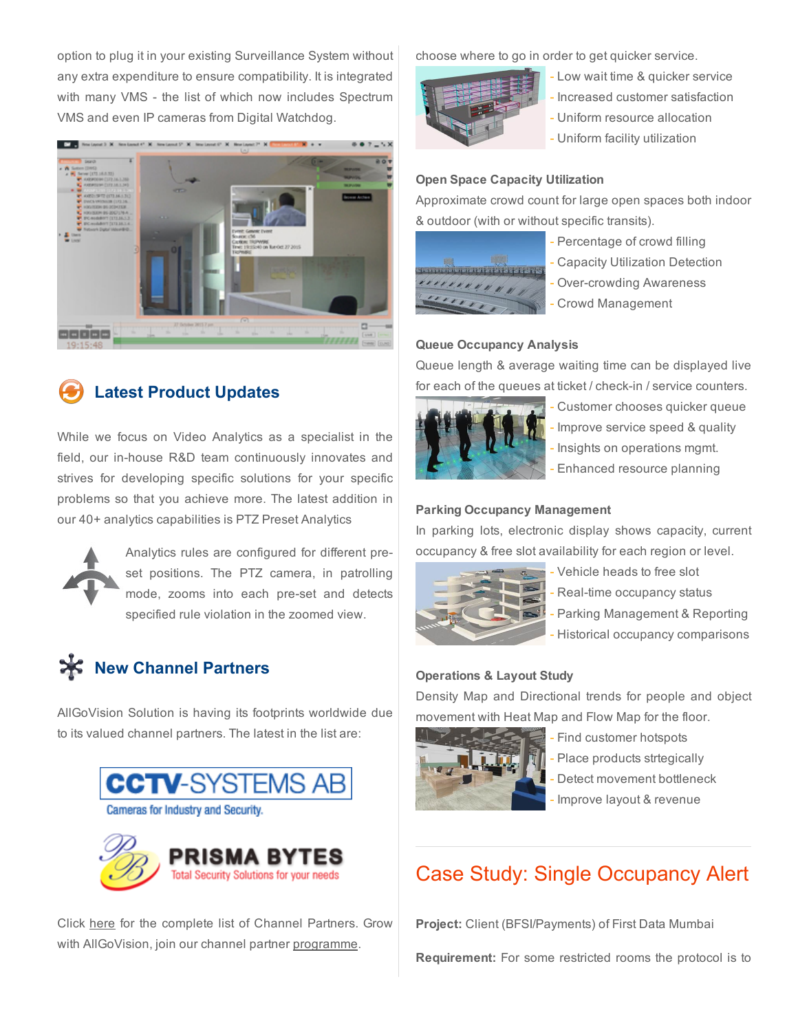option to plug it in your existing Surveillance System without any extra expenditure to ensure compatibility. It is integrated with many VMS - the list of which now includes Spectrum VMS and even IP cameras from Digital Watchdog.



# Latest Product Updates

While we focus on Video Analytics as a specialist in the field, our in-house R&D team continuously innovates and strives for developing specific solutions for your specific problems so that you achieve more. The latest addition in our 40+ analytics capabilities is PTZ Preset Analytics



Analytics rules are configured for different preset positions. The PTZ camera, in patrolling mode, zooms into each pre-set and detects specified rule violation in the zoomed view.

# **X** New Channel Partners

AllGoVision Solution is having its footprints worldwide due to its valued channel partners. The latest in the list are:



Click [here](http://allgovision.com/ch_partner.php) for the complete list of Channel Partners. Grow with AllGoVision, join our channel partner [programme.](http://allgovision.com/channel-partner-programme.php)

choose where to go in order to get quicker service.



- Low wait time & quicker service
- Increased customer satisfaction
- Uniform resource allocation
- Uniform facility utilization

### Open Space Capacity Utilization

Approximate crowd count for large open spaces both indoor & outdoor (with or without specific transits).



- Percentage of crowd filling
- Capacity Utilization Detection
- Over-crowding Awareness
- Crowd Management

### Queue Occupancy Analysis

Queue length & average waiting time can be displayed live for each of the queues at ticket / check-in / service counters.



- Customer chooses quicker queue
- Improve service speed & quality
- Insights on operations mgmt.
- Enhanced resource planning

### Parking Occupancy Management

In parking lots, electronic display shows capacity, current occupancy & free slot availability for each region or level.



- Vehicle heads to free slot
- Real-time occupancy status
- Parking Management & Reporting
- Historical occupancy comparisons

### Operations & Layout Study

Density Map and Directional trends for people and object movement with Heat Map and Flow Map for the floor.



- Find customer hotspots

Place products strtegically

Detect movement bottleneck

Improve layout & revenue

# Case Study: Single Occupancy Alert

Project: Client (BFSI/Payments) of First Data Mumbai

Requirement: For some restricted rooms the protocol is to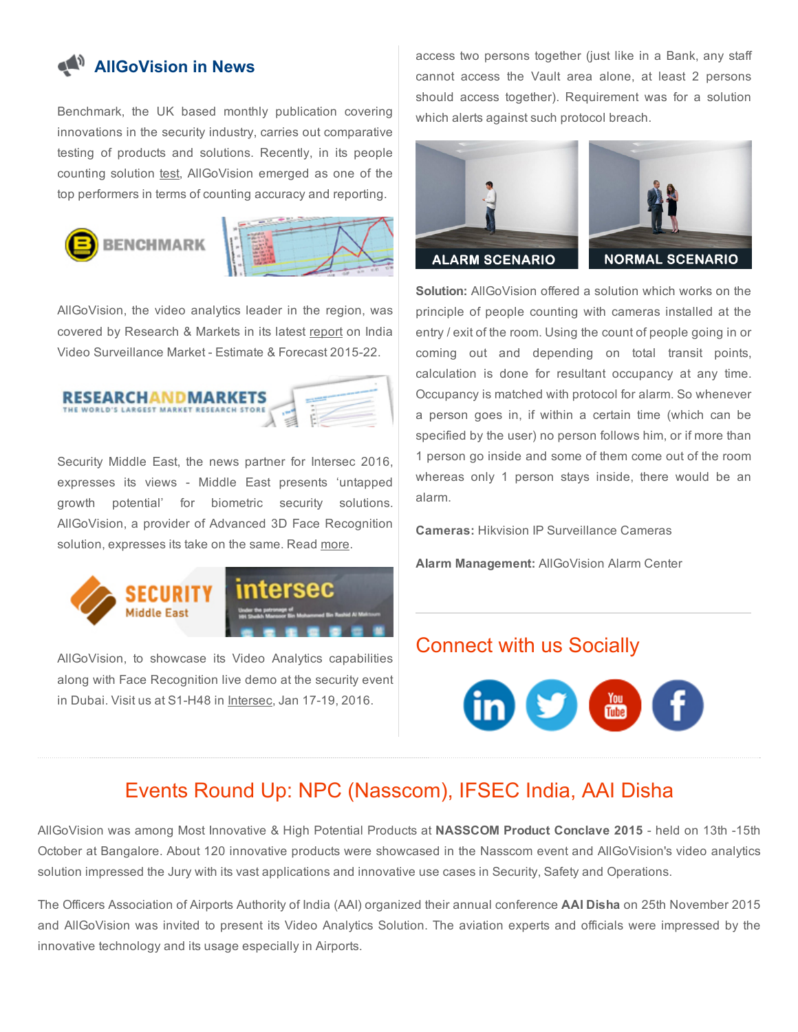# **AllGoVision in News**

Benchmark, the UK based monthly publication covering innovations in the security industry, carries out comparative testing of products and solutions. Recently, in its people counting solution [test,](http://benchmarkmagazine.com/cctv-test-people-counting-apps-part-2/) AllGoVision emerged as one of the top performers in terms of counting accuracy and reporting.





AllGoVision, the video analytics leader in the region, was covered by Research & Markets in its latest [report](http://www.researchandmarkets.com/research/mrgz5h/india_video) on India Video Surveillance Market - Estimate & Forecast 2015-22.



Security Middle East, the news partner for Intersec 2016, expresses its views - Middle East presents 'untapped growth potential' for biometric security solutions. AllGoVision, a provider of Advanced 3D Face Recognition solution, expresses its take on the same. Read [more](http://securitymiddleeast.com/2015/11/17/intersec-2016-middle-east-presents-untapped-growth-potential-for-biometric-security-solutions/).



AllGoVision, to showcase its Video Analytics capabilities along with Face Recognition live demo at the security event in Dubai. Visit us at S1-H48 in [Intersec,](https://secure.smartregister.co.uk/AllGoVision) Jan 17-19, 2016.

access two persons together (just like in a Bank, any staff cannot access the Vault area alone, at least 2 persons should access together). Requirement was for a solution which alerts against such protocol breach.



Solution: AllGoVision offered a solution which works on the principle of people counting with cameras installed at the entry / exit of the room. Using the count of people going in or coming out and depending on total transit points, calculation is done for resultant occupancy at any time. Occupancy is matched with protocol for alarm. So whenever a person goes in, if within a certain time (which can be specified by the user) no person follows him, or if more than 1 person go inside and some of them come out of the room whereas only 1 person stays inside, there would be an alarm.

Cameras: Hikvision IP Surveillance Cameras

Alarm Management: AllGoVision Alarm Center

## Connect with us Socially



# Events Round Up: NPC (Nasscom), IFSEC India, AAI Disha

AllGoVision was among Most Innovative & High Potential Products at NASSCOM Product Conclave 2015 - held on 13th -15th October at Bangalore. About 120 innovative products were showcased in the Nasscom event and AllGoVision's video analytics solution impressed the Jury with its vast applications and innovative use cases in Security, Safety and Operations.

The Officers Association of Airports Authority of India (AAI) organized their annual conference AAI Disha on 25th November 2015 and AllGoVision was invited to present its Video Analytics Solution. The aviation experts and officials were impressed by the innovative technology and its usage especially in Airports.